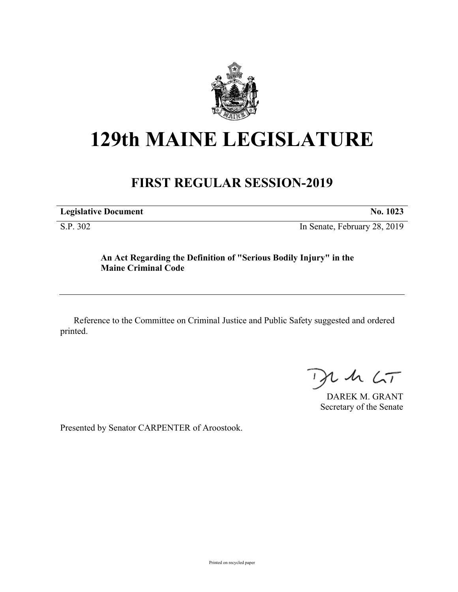

# **129th MAINE LEGISLATURE**

# **FIRST REGULAR SESSION-2019**

| <b>Legislative Document</b> | No. 1023 |
|-----------------------------|----------|
|                             |          |

S.P. 302 In Senate, February 28, 2019

## **An Act Regarding the Definition of "Serious Bodily Injury" in the Maine Criminal Code**

Reference to the Committee on Criminal Justice and Public Safety suggested and ordered printed.

 $425$ 

DAREK M. GRANT Secretary of the Senate

Presented by Senator CARPENTER of Aroostook.